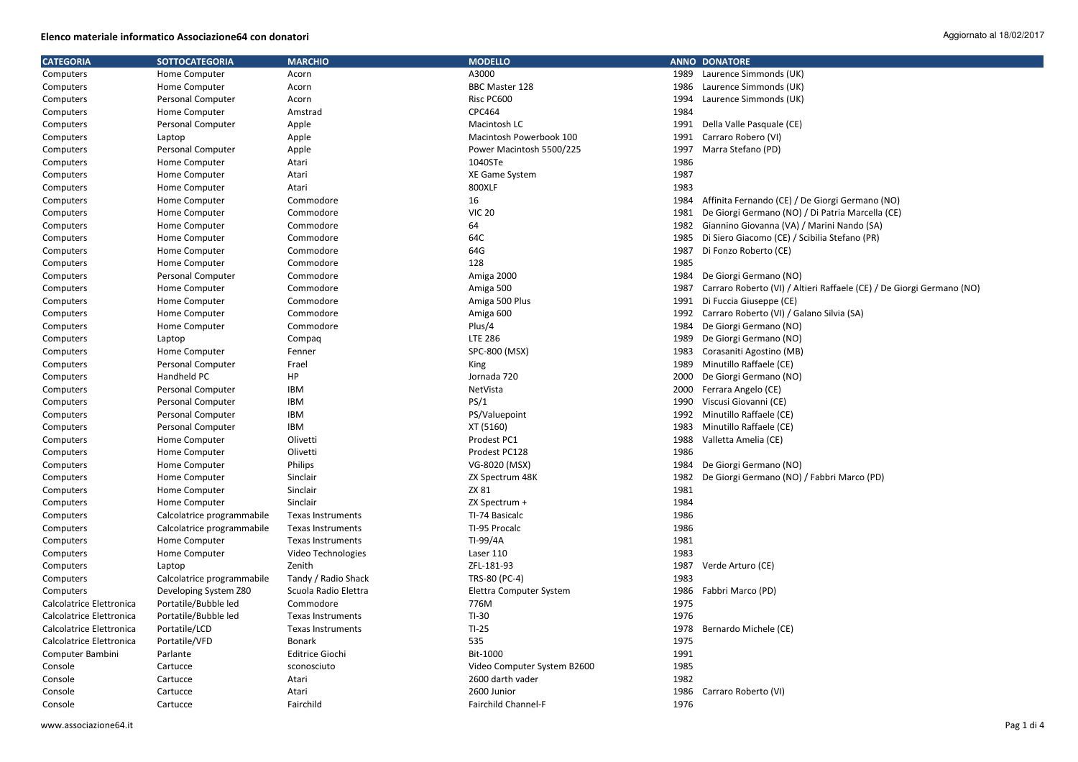| <b>CATEGORIA</b>         | <b>SOTTOCATEGORIA</b>      | <b>MARCHIO</b>           | <b>MODELLO</b>              |      | <b>ANNO DONATORE</b>                                                  |
|--------------------------|----------------------------|--------------------------|-----------------------------|------|-----------------------------------------------------------------------|
| Computers                | Home Computer              | Acorn                    | A3000                       | 1989 | Laurence Simmonds (UK)                                                |
| Computers                | Home Computer              | Acorn                    | BBC Master 128              | 1986 | Laurence Simmonds (UK)                                                |
| Computers                | Personal Computer          | Acorn                    | Risc PC600                  | 1994 | Laurence Simmonds (UK)                                                |
| Computers                | Home Computer              | Amstrad                  | CPC464                      | 1984 |                                                                       |
| Computers                | Personal Computer          | Apple                    | Macintosh LC                | 1991 | Della Valle Pasquale (CE)                                             |
| Computers                | Laptop                     | Apple                    | Macintosh Powerbook 100     | 1991 | Carraro Robero (VI)                                                   |
| Computers                | Personal Computer          | Apple                    | Power Macintosh 5500/225    | 1997 | Marra Stefano (PD)                                                    |
| Computers                | Home Computer              | Atari                    | 1040STe                     | 1986 |                                                                       |
| Computers                | Home Computer              | Atari                    | XE Game System              | 1987 |                                                                       |
| Computers                | Home Computer              | Atari                    | 800XLF                      | 1983 |                                                                       |
| Computers                | Home Computer              | Commodore                | 16                          | 1984 | Affinita Fernando (CE) / De Giorgi Germano (NO)                       |
| Computers                | Home Computer              | Commodore                | <b>VIC 20</b>               | 1981 | De Giorgi Germano (NO) / Di Patria Marcella (CE)                      |
| Computers                | Home Computer              | Commodore                | 64                          | 1982 | Giannino Giovanna (VA) / Marini Nando (SA)                            |
| Computers                | Home Computer              | Commodore                | 64C                         | 1985 | Di Siero Giacomo (CE) / Scibilia Stefano (PR)                         |
| Computers                | Home Computer              | Commodore                | 64G                         | 1987 | Di Fonzo Roberto (CE)                                                 |
| Computers                | Home Computer              | Commodore                | 128                         | 1985 |                                                                       |
| Computers                | Personal Computer          | Commodore                | Amiga 2000                  | 1984 | De Giorgi Germano (NO)                                                |
| Computers                | Home Computer              | Commodore                | Amiga 500                   | 1987 | Carraro Roberto (VI) / Altieri Raffaele (CE) / De Giorgi Germano (NO) |
| Computers                | Home Computer              | Commodore                | Amiga 500 Plus              | 1991 | Di Fuccia Giuseppe (CE)                                               |
| Computers                | Home Computer              | Commodore                | Amiga 600                   | 1992 | Carraro Roberto (VI) / Galano Silvia (SA)                             |
| Computers                | Home Computer              | Commodore                | Plus/4                      | 1984 | De Giorgi Germano (NO)                                                |
| Computers                | Laptop                     | Compaq                   | <b>LTE 286</b>              | 1989 | De Giorgi Germano (NO)                                                |
| Computers                | Home Computer              | Fenner                   | SPC-800 (MSX)               | 1983 | Corasaniti Agostino (MB)                                              |
| Computers                | Personal Computer          | Frael                    | King                        | 1989 | Minutillo Raffaele (CE)                                               |
| Computers                | Handheld PC                | HP                       | Jornada 720                 | 2000 | De Giorgi Germano (NO)                                                |
| Computers                | Personal Computer          | IBM                      | NetVista                    | 2000 | Ferrara Angelo (CE)                                                   |
| Computers                | <b>Personal Computer</b>   | <b>IBM</b>               | PS/1                        | 1990 | Viscusi Giovanni (CE)                                                 |
| Computers                | <b>Personal Computer</b>   | <b>IBM</b>               | PS/Valuepoint               | 1992 | Minutillo Raffaele (CE)                                               |
| Computers                | <b>Personal Computer</b>   | <b>IBM</b>               | XT (5160)                   | 1983 | Minutillo Raffaele (CE)                                               |
| Computers                | Home Computer              | Olivetti                 | Prodest PC1                 | 1988 | Valletta Amelia (CE)                                                  |
| Computers                | Home Computer              | Olivetti                 | Prodest PC128               | 1986 |                                                                       |
| Computers                | Home Computer              | Philips                  | VG-8020 (MSX)               | 1984 | De Giorgi Germano (NO)                                                |
| Computers                | Home Computer              | Sinclair                 | ZX Spectrum 48K             | 1982 | De Giorgi Germano (NO) / Fabbri Marco (PD)                            |
| Computers                | Home Computer              | Sinclair                 | ZX 81                       | 1981 |                                                                       |
| Computers                | Home Computer              | Sinclair                 | ZX Spectrum +               | 1984 |                                                                       |
| Computers                | Calcolatrice programmabile | <b>Texas Instruments</b> | TI-74 Basicalc              | 1986 |                                                                       |
| Computers                | Calcolatrice programmabile | Texas Instruments        | TI-95 Procalc               | 1986 |                                                                       |
| Computers                | Home Computer              | Texas Instruments        | TI-99/4A                    | 1981 |                                                                       |
| Computers                | Home Computer              | Video Technologies       | Laser 110                   | 1983 |                                                                       |
| Computers                | Laptop                     | Zenith                   | ZFL-181-93                  | 1987 | Verde Arturo (CE)                                                     |
| Computers                | Calcolatrice programmabile | Tandy / Radio Shack      | TRS-80 (PC-4)               | 1983 |                                                                       |
| Computers                | Developing System Z80      | Scuola Radio Elettra     | Elettra Computer System     | 1986 | Fabbri Marco (PD)                                                     |
| Calcolatrice Elettronica | Portatile/Bubble led       | Commodore                | 776M                        | 1975 |                                                                       |
| Calcolatrice Elettronica | Portatile/Bubble led       | <b>Texas Instruments</b> | $TI-30$                     | 1976 |                                                                       |
| Calcolatrice Elettronica | Portatile/LCD              | Texas Instruments        | $TI-25$                     | 1978 | Bernardo Michele (CE)                                                 |
| Calcolatrice Elettronica | Portatile/VFD              | Bonark                   | 535                         | 1975 |                                                                       |
| Computer Bambini         | Parlante                   | <b>Editrice Giochi</b>   | Bit-1000                    | 1991 |                                                                       |
| Console                  | Cartucce                   | sconosciuto              | Video Computer System B2600 | 1985 |                                                                       |
| Console                  | Cartucce                   | Atari                    | 2600 darth vader            | 1982 |                                                                       |
| Console                  | Cartucce                   | Atari                    | 2600 Junior                 | 1986 | Carraro Roberto (VI)                                                  |
| Console                  | Cartucce                   | Fairchild                | <b>Fairchild Channel-F</b>  | 1976 |                                                                       |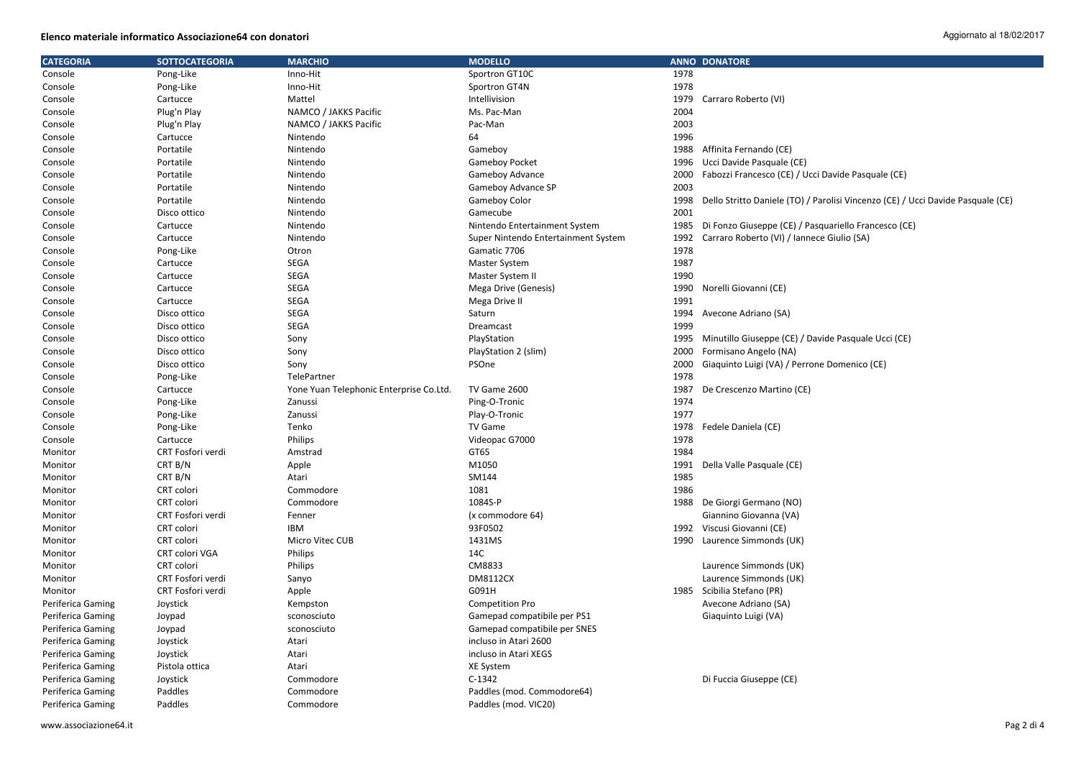| <b>CATEGORIA</b>  | <b>SOTTOCATEGORIA</b> | <b>MARCHIO</b>                          | <b>MODELLO</b>                      |      | <b>ANNO DONATORE</b>                                                            |
|-------------------|-----------------------|-----------------------------------------|-------------------------------------|------|---------------------------------------------------------------------------------|
| Console           | Pong-Like             | Inno-Hit                                | Sportron GT10C                      | 1978 |                                                                                 |
| Console           | Pong-Like             | Inno-Hit                                | Sportron GT4N                       | 1978 |                                                                                 |
| Console           | Cartucce              | Mattel                                  | Intellivision                       | 1979 | Carraro Roberto (VI)                                                            |
| Console           | Plug'n Play           | NAMCO / JAKKS Pacific                   | Ms. Pac-Man                         | 2004 |                                                                                 |
| Console           | Plug'n Play           | NAMCO / JAKKS Pacific                   | Pac-Man                             | 2003 |                                                                                 |
| Console           | Cartucce              | Nintendo                                | 64                                  | 1996 |                                                                                 |
| Console           | Portatile             | Nintendo                                | Gameboy                             | 1988 | Affinita Fernando (CE)                                                          |
| Console           | Portatile             | Nintendo                                | <b>Gameboy Pocket</b>               | 1996 | Ucci Davide Pasquale (CE)                                                       |
| Console           | Portatile             | Nintendo                                | Gameboy Advance                     | 2000 | Fabozzi Francesco (CE) / Ucci Davide Pasquale (CE)                              |
| Console           | Portatile             | Nintendo                                | Gameboy Advance SP                  | 2003 |                                                                                 |
| Console           | Portatile             | Nintendo                                | <b>Gameboy Color</b>                | 1998 | Dello Stritto Daniele (TO) / Parolisi Vincenzo (CE) / Ucci Davide Pasquale (CE) |
| Console           | Disco ottico          | Nintendo                                | Gamecube                            | 2001 |                                                                                 |
| Console           | Cartucce              | Nintendo                                | Nintendo Entertainment System       | 1985 | Di Fonzo Giuseppe (CE) / Pasquariello Francesco (CE)                            |
| Console           | Cartucce              | Nintendo                                | Super Nintendo Entertainment System | 1992 | Carraro Roberto (VI) / Iannece Giulio (SA)                                      |
| Console           | Pong-Like             | Otron                                   | Gamatic 7706                        | 1978 |                                                                                 |
| Console           | Cartucce              | SEGA                                    | <b>Master System</b>                | 1987 |                                                                                 |
| Console           | Cartucce              | <b>SEGA</b>                             | Master System II                    | 1990 |                                                                                 |
| Console           | Cartucce              | <b>SEGA</b>                             | Mega Drive (Genesis)                | 1990 | Norelli Giovanni (CE)                                                           |
| Console           | Cartucce              | SEGA                                    | Mega Drive II                       | 1991 |                                                                                 |
| Console           | Disco ottico          | SEGA                                    | Saturn                              | 1994 | Avecone Adriano (SA)                                                            |
| Console           | Disco ottico          | <b>SEGA</b>                             | Dreamcast                           | 1999 |                                                                                 |
| Console           | Disco ottico          | Sony                                    | PlayStation                         | 1995 | Minutillo Giuseppe (CE) / Davide Pasquale Ucci (CE)                             |
| Console           | Disco ottico          | Sony                                    | PlayStation 2 (slim)                | 2000 | Formisano Angelo (NA)                                                           |
| Console           | Disco ottico          | Sony                                    | PSOne                               | 2000 | Giaguinto Luigi (VA) / Perrone Domenico (CE)                                    |
| Console           | Pong-Like             | TelePartner                             |                                     | 1978 |                                                                                 |
| Console           | Cartucce              | Yone Yuan Telephonic Enterprise Co.Ltd. | TV Game 2600                        | 1987 | De Crescenzo Martino (CE)                                                       |
| Console           | Pong-Like             | Zanussi                                 | Ping-O-Tronic                       | 1974 |                                                                                 |
| Console           | Pong-Like             | Zanussi                                 | Play-O-Tronic                       | 1977 |                                                                                 |
| Console           | Pong-Like             | Tenko                                   | TV Game                             | 1978 | Fedele Daniela (CE)                                                             |
| Console           | Cartucce              | Philips                                 | Videopac G7000                      | 1978 |                                                                                 |
| Monitor           | CRT Fosfori verdi     | Amstrad                                 | GT65                                | 1984 |                                                                                 |
| Monitor           | CRT B/N               | Apple                                   | M1050                               | 1991 | Della Valle Pasquale (CE)                                                       |
| Monitor           | CRT B/N               | Atari                                   | SM144                               | 1985 |                                                                                 |
| Monitor           | CRT colori            | Commodore                               | 1081                                | 1986 |                                                                                 |
| Monitor           | CRT colori            | Commodore                               | 1084S-P                             |      | 1988 De Giorgi Germano (NO)                                                     |
| Monitor           | CRT Fosfori verdi     | Fenner                                  | (x commodore 64)                    |      | Giannino Giovanna (VA)                                                          |
| Monitor           | CRT colori            | <b>IBM</b>                              | 93F0502                             | 1992 | Viscusi Giovanni (CE)                                                           |
| Monitor           | CRT colori            | Micro Vitec CUB                         | 1431MS                              |      | 1990 Laurence Simmonds (UK)                                                     |
| Monitor           | CRT colori VGA        | Philips                                 | 14C                                 |      |                                                                                 |
| Monitor           | CRT colori            | Philips                                 | CM8833                              |      | Laurence Simmonds (UK)                                                          |
| Monitor           | CRT Fosfori verdi     | Sanyo                                   | <b>DM8112CX</b>                     |      | Laurence Simmonds (UK)                                                          |
| Monitor           | CRT Fosfori verdi     | Apple                                   | G091H                               |      | 1985 Scibilia Stefano (PR)                                                      |
| Periferica Gaming | Joystick              | Kempston                                | <b>Competition Pro</b>              |      | Avecone Adriano (SA)                                                            |
| Periferica Gaming | Joypad                | sconosciuto                             | Gamepad compatibile per PS1         |      | Giaquinto Luigi (VA)                                                            |
| Periferica Gaming | Joypad                | sconosciuto                             | Gamepad compatibile per SNES        |      |                                                                                 |
| Periferica Gaming | Joystick              | Atari                                   | incluso in Atari 2600               |      |                                                                                 |
| Periferica Gaming | Joystick              | Atari                                   | incluso in Atari XEGS               |      |                                                                                 |
| Periferica Gaming | Pistola ottica        | Atari                                   | XE System                           |      |                                                                                 |
| Periferica Gaming | Joystick              | Commodore                               | $C-1342$                            |      | Di Fuccia Giuseppe (CE)                                                         |
| Periferica Gaming | Paddles               | Commodore                               | Paddles (mod. Commodore64)          |      |                                                                                 |
| Periferica Gaming | Paddles               | Commodore                               | Paddles (mod. VIC20)                |      |                                                                                 |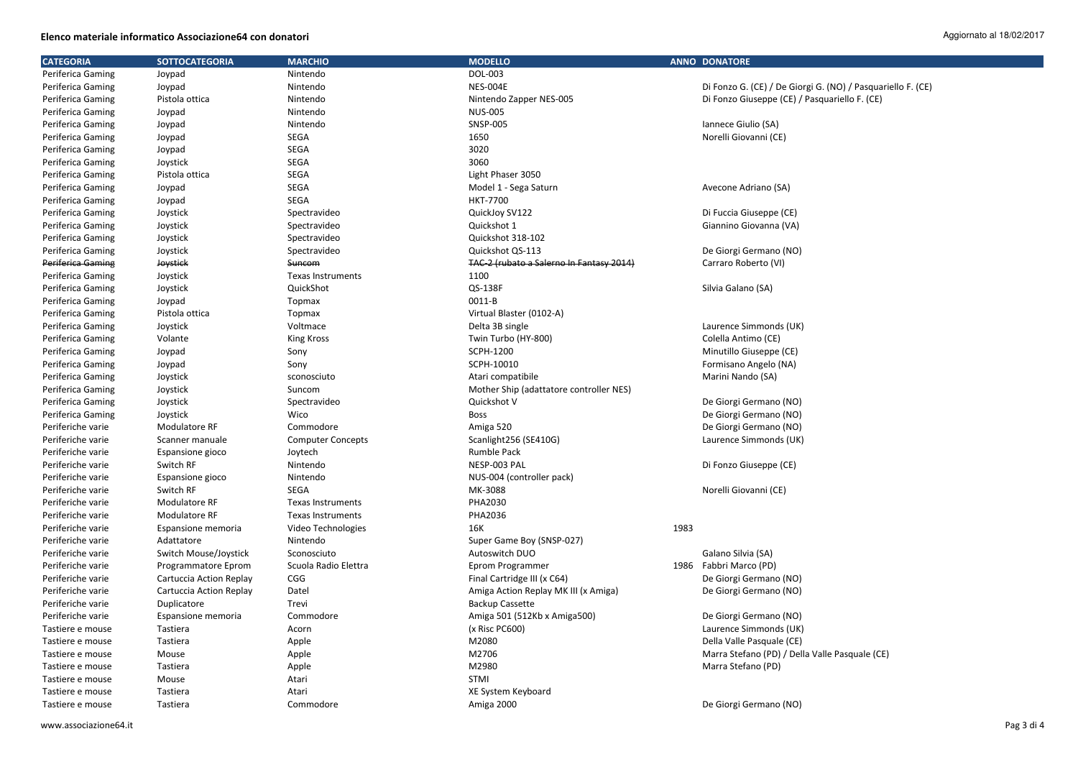| <b>CATEGORIA</b>         | <b>SOTTOCATEGORIA</b>   | <b>MARCHIO</b>           | <b>MODELLO</b>                           |      | <b>ANNO DONATORE</b>                                        |
|--------------------------|-------------------------|--------------------------|------------------------------------------|------|-------------------------------------------------------------|
| Periferica Gaming        | Joypad                  | Nintendo                 | DOL-003                                  |      |                                                             |
| Periferica Gaming        | Joypad                  | Nintendo                 | <b>NES-004E</b>                          |      | Di Fonzo G. (CE) / De Giorgi G. (NO) / Pasquariello F. (CE) |
| Periferica Gaming        | Pistola ottica          | Nintendo                 | Nintendo Zapper NES-005                  |      | Di Fonzo Giuseppe (CE) / Pasquariello F. (CE)               |
| Periferica Gaming        | Joypad                  | Nintendo                 | <b>NUS-005</b>                           |      |                                                             |
| Periferica Gaming        | Joypad                  | Nintendo                 | <b>SNSP-005</b>                          |      | Iannece Giulio (SA)                                         |
| Periferica Gaming        | Joypad                  | <b>SEGA</b>              | 1650                                     |      | Norelli Giovanni (CE)                                       |
| Periferica Gaming        | Joypad                  | <b>SEGA</b>              | 3020                                     |      |                                                             |
| Periferica Gaming        | Joystick                | <b>SEGA</b>              | 3060                                     |      |                                                             |
| Periferica Gaming        | Pistola ottica          | SEGA                     | Light Phaser 3050                        |      |                                                             |
| Periferica Gaming        | Joypad                  | SEGA                     | Model 1 - Sega Saturn                    |      | Avecone Adriano (SA)                                        |
| Periferica Gaming        | Joypad                  | <b>SEGA</b>              | <b>HKT-7700</b>                          |      |                                                             |
| Periferica Gaming        | Joystick                | Spectravideo             | QuickJoy SV122                           |      | Di Fuccia Giuseppe (CE)                                     |
| Periferica Gaming        | Joystick                | Spectravideo             | Quickshot 1                              |      | Giannino Giovanna (VA)                                      |
| Periferica Gaming        | Joystick                | Spectravideo             | Quickshot 318-102                        |      |                                                             |
| Periferica Gaming        | Joystick                | Spectravideo             | Quickshot QS-113                         |      | De Giorgi Germano (NO)                                      |
| <b>Periferica Gaming</b> | Joystick                | Suncom                   | TAC-2 (rubato a Salerno In Fantasy 2014) |      | Carraro Roberto (VI)                                        |
| Periferica Gaming        | Joystick                | <b>Texas Instruments</b> | 1100                                     |      |                                                             |
| Periferica Gaming        | Joystick                | QuickShot                | QS-138F                                  |      | Silvia Galano (SA)                                          |
| Periferica Gaming        | Joypad                  | <b>Topmax</b>            | 0011-B                                   |      |                                                             |
| Periferica Gaming        | Pistola ottica          | Topmax                   | Virtual Blaster (0102-A)                 |      |                                                             |
| Periferica Gaming        | Joystick                | Voltmace                 | Delta 3B single                          |      | Laurence Simmonds (UK)                                      |
| Periferica Gaming        | Volante                 | <b>King Kross</b>        | Twin Turbo (HY-800)                      |      | Colella Antimo (CE)                                         |
| Periferica Gaming        | Joypad                  | Sony                     | SCPH-1200                                |      | Minutillo Giuseppe (CE)                                     |
| Periferica Gaming        | Joypad                  | Sony                     | SCPH-10010                               |      | Formisano Angelo (NA)                                       |
| Periferica Gaming        | Joystick                | sconosciuto              | Atari compatibile                        |      | Marini Nando (SA)                                           |
| Periferica Gaming        | Joystick                | Suncom                   | Mother Ship (adattatore controller NES)  |      |                                                             |
| Periferica Gaming        | Joystick                | Spectravideo             | Quickshot V                              |      | De Giorgi Germano (NO)                                      |
| Periferica Gaming        | Joystick                | Wico                     | <b>Boss</b>                              |      | De Giorgi Germano (NO)                                      |
| Periferiche varie        | Modulatore RF           | Commodore                | Amiga 520                                |      | De Giorgi Germano (NO)                                      |
| Periferiche varie        | Scanner manuale         | <b>Computer Concepts</b> | Scanlight256 (SE410G)                    |      | Laurence Simmonds (UK)                                      |
| Periferiche varie        | Espansione gioco        | Joytech                  | <b>Rumble Pack</b>                       |      |                                                             |
| Periferiche varie        | Switch RF               | Nintendo                 | NESP-003 PAL                             |      | Di Fonzo Giuseppe (CE)                                      |
| Periferiche varie        | Espansione gioco        | Nintendo                 | NUS-004 (controller pack)                |      |                                                             |
| Periferiche varie        | Switch RF               | SEGA                     | MK-3088                                  |      | Norelli Giovanni (CE)                                       |
| Periferiche varie        | <b>Modulatore RF</b>    | <b>Texas Instruments</b> | PHA2030                                  |      |                                                             |
| Periferiche varie        | Modulatore RF           | Texas Instruments        | PHA2036                                  |      |                                                             |
| Periferiche varie        | Espansione memoria      | Video Technologies       | 16K                                      | 1983 |                                                             |
| Periferiche varie        | Adattatore              | Nintendo                 | Super Game Boy (SNSP-027)                |      |                                                             |
| Periferiche varie        | Switch Mouse/Joystick   | Sconosciuto              | Autoswitch DUO                           |      | Galano Silvia (SA)                                          |
| Periferiche varie        | Programmatore Eprom     | Scuola Radio Elettra     | Eprom Programmer                         |      | 1986 Fabbri Marco (PD)                                      |
| Periferiche varie        | Cartuccia Action Replay | CGG                      | Final Cartridge III (x C64)              |      | De Giorgi Germano (NO)                                      |
| Periferiche varie        | Cartuccia Action Replay | Datel                    | Amiga Action Replay MK III (x Amiga)     |      | De Giorgi Germano (NO)                                      |
| Periferiche varie        | Duplicatore             | Trevi                    | <b>Backup Cassette</b>                   |      |                                                             |
| Periferiche varie        | Espansione memoria      | Commodore                | Amiga 501 (512Kb x Amiga500)             |      | De Giorgi Germano (NO)                                      |
| Tastiere e mouse         | Tastiera                | Acorn                    | (x Risc PC600)                           |      | Laurence Simmonds (UK)                                      |
| Tastiere e mouse         | Tastiera                | Apple                    | M2080                                    |      | Della Valle Pasquale (CE)                                   |
| Tastiere e mouse         | Mouse                   | Apple                    | M2706                                    |      | Marra Stefano (PD) / Della Valle Pasquale (CE)              |
| Tastiere e mouse         | Tastiera                | Apple                    | M2980                                    |      | Marra Stefano (PD)                                          |
| Tastiere e mouse         | Mouse                   | Atari                    | STMI                                     |      |                                                             |
| Tastiere e mouse         | Tastiera                | Atari                    | XE System Keyboard                       |      |                                                             |
| Tastiere e mouse         | Tastiera                | Commodore                | Amiga 2000                               |      | De Giorgi Germano (NO)                                      |